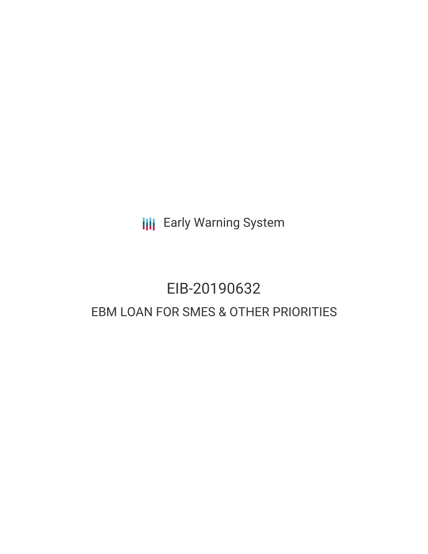**III** Early Warning System

# EIB-20190632 EBM LOAN FOR SMES & OTHER PRIORITIES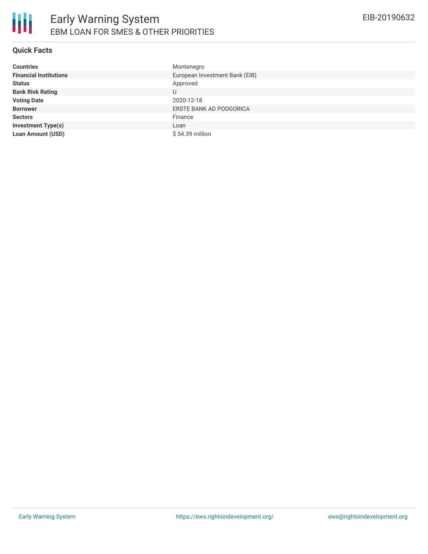

# **Quick Facts**

| <b>Countries</b>              | Montenegro                     |
|-------------------------------|--------------------------------|
| <b>Financial Institutions</b> | European Investment Bank (EIB) |
| <b>Status</b>                 | Approved                       |
| <b>Bank Risk Rating</b>       | U                              |
| <b>Voting Date</b>            | 2020-12-18                     |
| <b>Borrower</b>               | ERSTE BANK AD PODGORICA        |
| <b>Sectors</b>                | Finance                        |
| <b>Investment Type(s)</b>     | Loan                           |
| <b>Loan Amount (USD)</b>      | \$54.39 million                |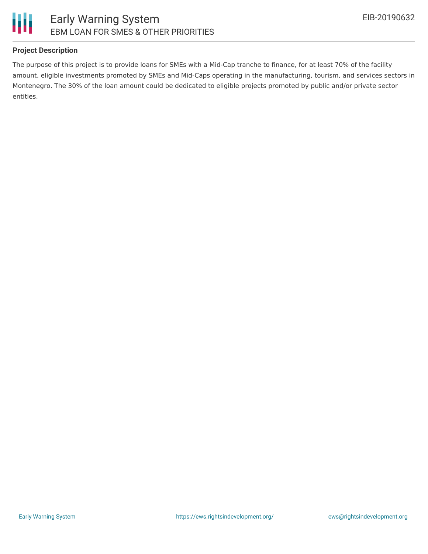

## **Project Description**

The purpose of this project is to provide loans for SMEs with a Mid-Cap tranche to finance, for at least 70% of the facility amount, eligible investments promoted by SMEs and Mid-Caps operating in the manufacturing, tourism, and services sectors in Montenegro. The 30% of the loan amount could be dedicated to eligible projects promoted by public and/or private sector entities.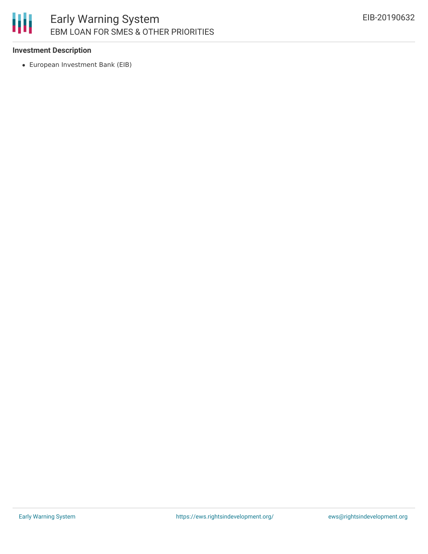# 冊 Early Warning System EBM LOAN FOR SMES & OTHER PRIORITIES

#### **Investment Description**

European Investment Bank (EIB)